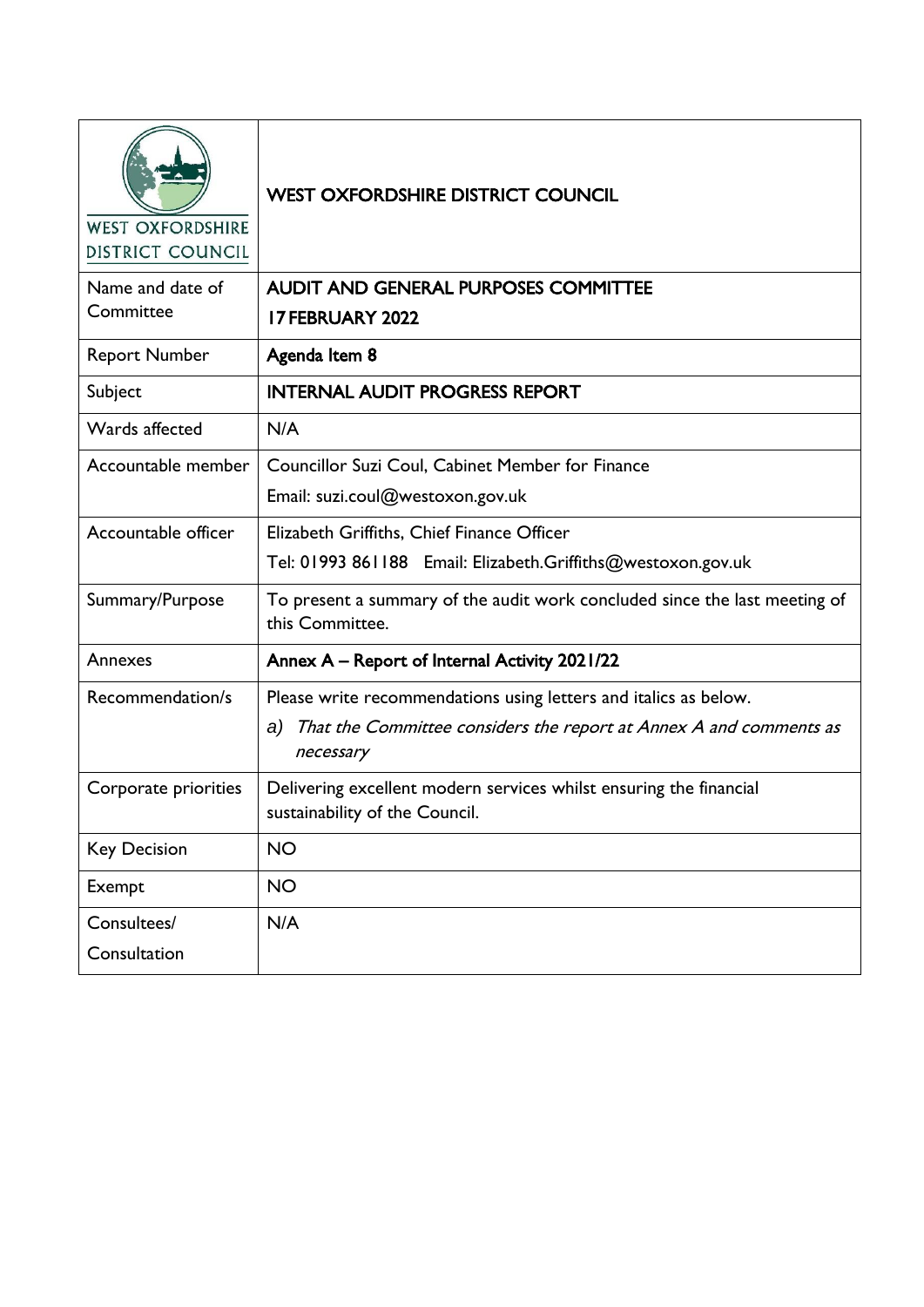| <b>WEST OXFORDSHIRE</b><br>DISTRICT COUNCIL | <b>WEST OXFORDSHIRE DISTRICT COUNCIL</b>                                                             |
|---------------------------------------------|------------------------------------------------------------------------------------------------------|
| Name and date of                            | <b>AUDIT AND GENERAL PURPOSES COMMITTEE</b>                                                          |
| Committee                                   | <b>I7 FEBRUARY 2022</b>                                                                              |
| <b>Report Number</b>                        | Agenda Item 8                                                                                        |
| Subject                                     | <b>INTERNAL AUDIT PROGRESS REPORT</b>                                                                |
| Wards affected                              | N/A                                                                                                  |
| Accountable member                          | Councillor Suzi Coul, Cabinet Member for Finance                                                     |
|                                             | Email: suzi.coul@westoxon.gov.uk                                                                     |
| Accountable officer                         | Elizabeth Griffiths, Chief Finance Officer                                                           |
|                                             | Tel: 01993 861188 Email: Elizabeth.Griffiths@westoxon.gov.uk                                         |
| Summary/Purpose                             | To present a summary of the audit work concluded since the last meeting of<br>this Committee.        |
| Annexes                                     | Annex A - Report of Internal Activity 2021/22                                                        |
| Recommendation/s                            | Please write recommendations using letters and italics as below.                                     |
|                                             | a) That the Committee considers the report at Annex A and comments as<br>necessary                   |
| Corporate priorities                        | Delivering excellent modern services whilst ensuring the financial<br>sustainability of the Council. |
| <b>Key Decision</b>                         | <b>NO</b>                                                                                            |
| Exempt                                      | <b>NO</b>                                                                                            |
| Consultees/                                 | N/A                                                                                                  |
| Consultation                                |                                                                                                      |